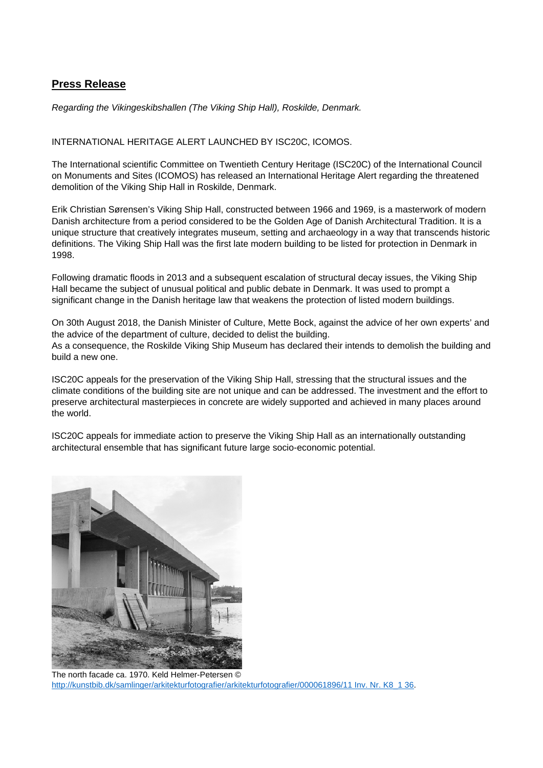## **Press Release**

*Regarding the Vikingeskibshallen (The Viking Ship Hall), Roskilde, Denmark.* 

INTERNATIONAL HERITAGE ALERT LAUNCHED BY ISC20C, ICOMOS.

The International scientific Committee on Twentieth Century Heritage (ISC20C) of the International Council on Monuments and Sites (ICOMOS) has released an International Heritage Alert regarding the threatened demolition of the Viking Ship Hall in Roskilde, Denmark.

Erik Christian Sørensen's Viking Ship Hall, constructed between 1966 and 1969, is a masterwork of modern Danish architecture from a period considered to be the Golden Age of Danish Architectural Tradition. It is a unique structure that creatively integrates museum, setting and archaeology in a way that transcends historic definitions. The Viking Ship Hall was the first late modern building to be listed for protection in Denmark in 1998.

Following dramatic floods in 2013 and a subsequent escalation of structural decay issues, the Viking Ship Hall became the subject of unusual political and public debate in Denmark. It was used to prompt a significant change in the Danish heritage law that weakens the protection of listed modern buildings.

On 30th August 2018, the Danish Minister of Culture, Mette Bock, against the advice of her own experts' and the advice of the department of culture, decided to delist the building. As a consequence, the Roskilde Viking Ship Museum has declared their intends to demolish the building and build a new one.

ISC20C appeals for the preservation of the Viking Ship Hall, stressing that the structural issues and the climate conditions of the building site are not unique and can be addressed. The investment and the effort to preserve architectural masterpieces in concrete are widely supported and achieved in many places around the world.

ISC20C appeals for immediate action to preserve the Viking Ship Hall as an internationally outstanding architectural ensemble that has significant future large socio-economic potential.



The north facade ca. 1970. Keld Helmer-Petersen © http://kunstbib.dk/samlinger/arkitekturfotografier/arkitekturfotografier/000061896/11 Inv. Nr. K8\_1 36.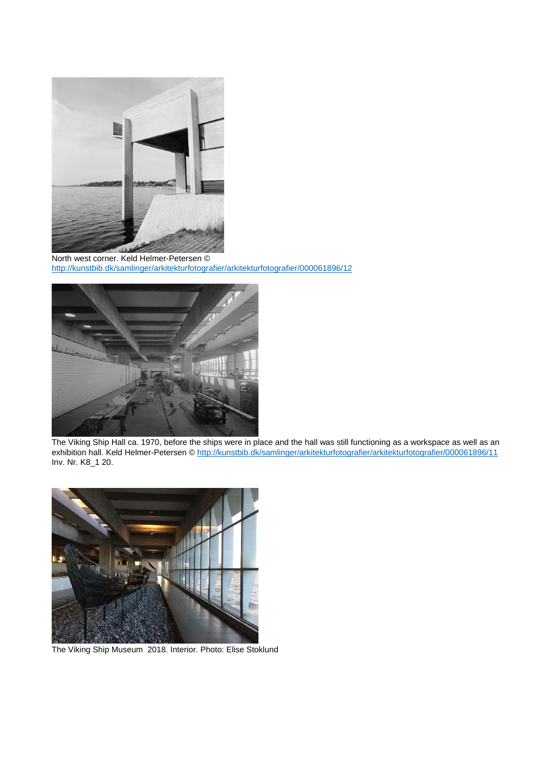

North west corner. Keld Helmer-Petersen © http://kunstbib.dk/samlinger/arkitekturfotografier/arkitekturfotografier/000061896/12



The Viking Ship Hall ca. 1970, before the ships were in place and the hall was still functioning as a workspace as well as an exhibition hall. Keld Helmer-Petersen © http://kunstbib.dk/samlinger/arkitekturfotografier/arkitekturfotografier/000061896/11 Inv. Nr. K8\_1 20.



The Viking Ship Museum 2018. Interior. Photo: Elise Stoklund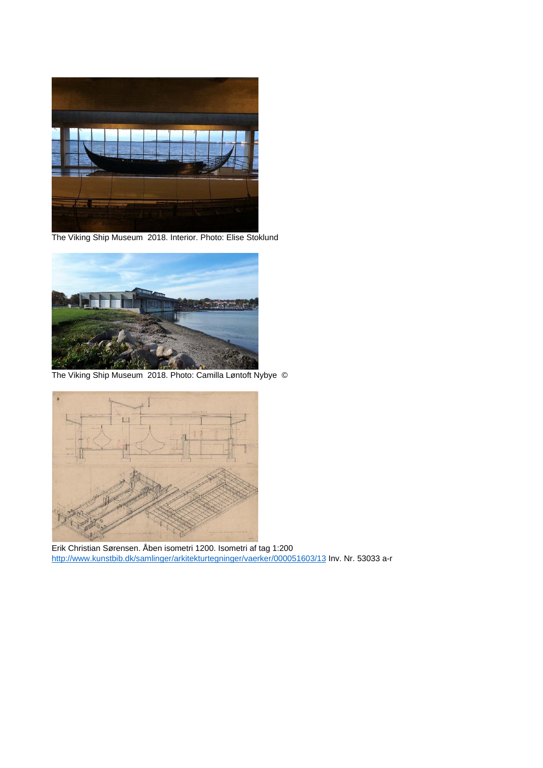

The Viking Ship Museum 2018. Interior. Photo: Elise Stoklund



The Viking Ship Museum 2018. Photo: Camilla Løntoft Nybye ©



Erik Christian Sørensen. Åben isometri 1200. Isometri af tag 1:200 http://www.kunstbib.dk/samlinger/arkitekturtegninger/vaerker/000051603/13 Inv. Nr. 53033 a-r